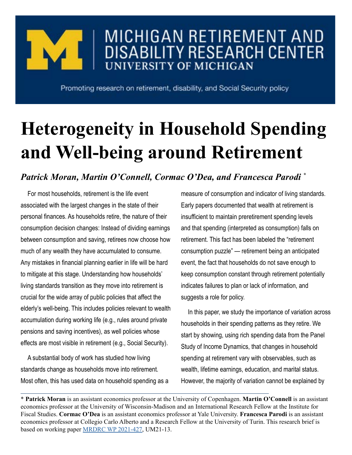

## MICHIGAN RETIREMENT AND **DISABILITY RESEARCH CENTER UNIVERSITY OF MICHIGAN**

Promoting research on retirement, disability, and Social Security policy

## **Heterogeneity in Household Spending and Well-being around Retirement**

## *Patrick Moran, Martin O'Connell, Cormac O'Dea, and Francesca Parodi \**

For most households, retirement is the life event associated with the largest changes in the state of their personal finances. As households retire, the nature of their consumption decision changes: Instead of dividing earnings between consumption and saving, retirees now choose how much of any wealth they have accumulated to consume. Any mistakes in financial planning earlier in life will be hard to mitigate at this stage. Understanding how households' living standards transition as they move into retirement is crucial for the wide array of public policies that affect the elderly's well-being. This includes policies relevant to wealth accumulation during working life (e.g., rules around private pensions and saving incentives), as well policies whose effects are most visible in retirement (e.g., Social Security).

A substantial body of work has studied how living standards change as households move into retirement. Most often, this has used data on household spending as a measure of consumption and indicator of living standards. Early papers documented that wealth at retirement is insufficient to maintain preretirement spending levels and that spending (interpreted as consumption) falls on retirement. This fact has been labeled the "retirement consumption puzzle" — retirement being an anticipated event, the fact that households do not save enough to keep consumption constant through retirement potentially indicates failures to plan or lack of information, and suggests a role for policy.

In this paper, we study the importance of variation across households in their spending patterns as they retire. We start by showing, using rich spending data from the Panel Study of Income Dynamics, that changes in household spending at retirement vary with observables, such as wealth, lifetime earnings, education, and marital status. However, the majority of variation cannot be explained by

\* **Patrick Moran** is an assistant economics professor at the University of Copenhagen. **Martin O'Connell** is an assistant economics professor at the University of Wisconsin-Madison and an International Research Fellow at the Institute for Fiscal Studies. **Cormac O'Dea** is an assistant economics professor at Yale University. **Francesca Parodi** is an assistant economics professor at Collegio Carlo Alberto and a Research Fellow at the University of Turin. This research brief is based on working paper [MRDRC WP 2021-427](https://mrdrc.isr.umich.edu/pubs/heterogeneity-in-household-spending-and-well-being-around-retirement/), UM21-13.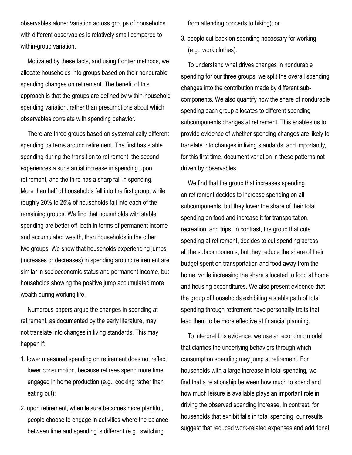observables alone: Variation across groups of households with different observables is relatively small compared to within-group variation.

Motivated by these facts, and using frontier methods, we allocate households into groups based on their nondurable spending changes on retirement. The benefit of this approach is that the groups are defined by within-household spending variation, rather than presumptions about which observables correlate with spending behavior.

There are three groups based on systematically different spending patterns around retirement. The first has stable spending during the transition to retirement, the second experiences a substantial increase in spending upon retirement, and the third has a sharp fall in spending. More than half of households fall into the first group, while roughly 20% to 25% of households fall into each of the remaining groups. We find that households with stable spending are better off, both in terms of permanent income and accumulated wealth, than households in the other two groups. We show that households experiencing jumps (increases or decreases) in spending around retirement are similar in socioeconomic status and permanent income, but households showing the positive jump accumulated more wealth during working life.

Numerous papers argue the changes in spending at retirement, as documented by the early literature, may not translate into changes in living standards. This may happen if:

- 1. lower measured spending on retirement does not reflect lower consumption, because retirees spend more time engaged in home production (e.g., cooking rather than eating out);
- 2. upon retirement, when leisure becomes more plentiful, people choose to engage in activities where the balance between time and spending is different (e.g., switching

from attending concerts to hiking); or

3. people cut-back on spending necessary for working (e.g., work clothes).

To understand what drives changes in nondurable spending for our three groups, we split the overall spending changes into the contribution made by different subcomponents. We also quantify how the share of nondurable spending each group allocates to different spending subcomponents changes at retirement. This enables us to provide evidence of whether spending changes are likely to translate into changes in living standards, and importantly, for this first time, document variation in these patterns not driven by observables.

We find that the group that increases spending on retirement decides to increase spending on all subcomponents, but they lower the share of their total spending on food and increase it for transportation, recreation, and trips. In contrast, the group that cuts spending at retirement, decides to cut spending across all the subcomponents, but they reduce the share of their budget spent on transportation and food away from the home, while increasing the share allocated to food at home and housing expenditures. We also present evidence that the group of households exhibiting a stable path of total spending through retirement have personality traits that lead them to be more effective at financial planning.

To interpret this evidence, we use an economic model that clarifies the underlying behaviors through which consumption spending may jump at retirement. For households with a large increase in total spending, we find that a relationship between how much to spend and how much leisure is available plays an important role in driving the observed spending increase. In contrast, for households that exhibit falls in total spending, our results suggest that reduced work-related expenses and additional